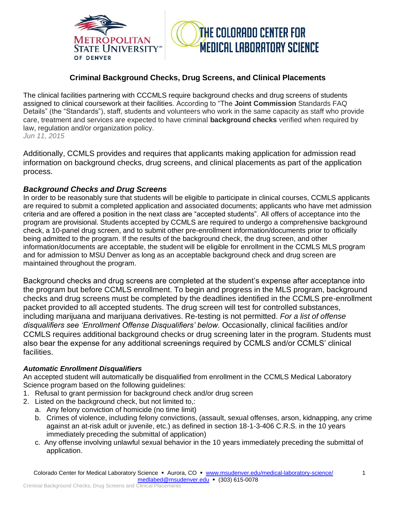



# **Criminal Background Checks, Drug Screens, and Clinical Placements**

The clinical facilities partnering with CCCMLS require background checks and drug screens of students assigned to clinical coursework at their facilities. According to "The **Joint Commission** Standards FAQ Details" (the "Standards"), staff, students and volunteers who work in the same capacity as staff who provide care, treatment and services are expected to have criminal **background checks** verified when required by law, regulation and/or organization policy. *Jun 11, 2015*

Additionally, CCMLS provides and requires that applicants making application for admission read information on background checks, drug screens, and clinical placements as part of the application process.

## *Background Checks and Drug Screens*

In order to be reasonably sure that students will be eligible to participate in clinical courses, CCMLS applicants are required to submit a completed application and associated documents; applicants who have met admission criteria and are offered a position in the next class are "accepted students". All offers of acceptance into the program are provisional. Students accepted by CCMLS are required to undergo a comprehensive background check, a 10-panel drug screen, and to submit other pre-enrollment information/documents prior to officially being admitted to the program. If the results of the background check, the drug screen, and other information/documents are acceptable, the student will be eligible for enrollment in the CCMLS MLS program and for admission to MSU Denver as long as an acceptable background check and drug screen are maintained throughout the program.

Background checks and drug screens are completed at the student's expense after acceptance into the program but before CCMLS enrollment. To begin and progress in the MLS program, background checks and drug screens must be completed by the deadlines identified in the CCMLS pre-enrollment packet provided to all accepted students. The drug screen will test for controlled substances, including marijuana and marijuana derivatives. Re-testing is not permitted. *For a list of offense disqualifiers see 'Enrollment Offense Disqualifiers' below.* Occasionally, clinical facilities and/or CCMLS requires additional background checks or drug screening later in the program. Students must also bear the expense for any additional screenings required by CCMLS and/or CCMLS' clinical facilities.

## *Automatic Enrollment Disqualifiers*

An accepted student will automatically be disqualified from enrollment in the CCMLS Medical Laboratory Science program based on the following guidelines:

- 1. Refusal to grant permission for background check and/or drug screen
- 2. Listed on the background check, but not limited to,:
	- a. Any felony conviction of homicide (no time limit)
	- b. Crimes of violence, including felony convictions, (assault, sexual offenses, arson, kidnapping, any crime against an at-risk adult or juvenile, etc.) as defined in section 18-1-3-406 C.R.S. in the 10 years immediately preceding the submittal of application)
	- c. Any offense involving unlawful sexual behavior in the 10 years immediately preceding the submittal of application.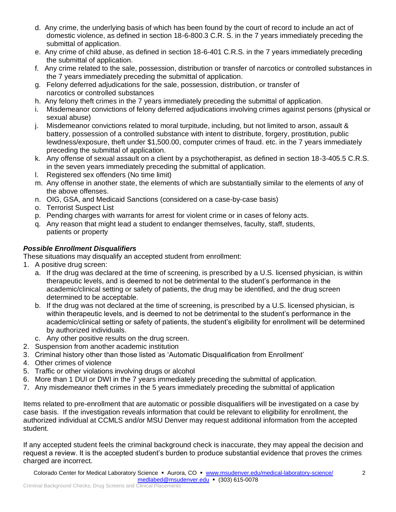- d. Any crime, the underlying basis of which has been found by the court of record to include an act of domestic violence, as defined in section 18-6-800.3 C.R. S. in the 7 years immediately preceding the submittal of application.
- e. Any crime of child abuse, as defined in section 18-6-401 C.R.S. in the 7 years immediately preceding the submittal of application.
- f. Any crime related to the sale, possession, distribution or transfer of narcotics or controlled substances in the 7 years immediately preceding the submittal of application.
- g. Felony deferred adjudications for the sale, possession, distribution, or transfer of narcotics or controlled substances
- h. Any felony theft crimes in the 7 years immediately preceding the submittal of application.
- i. Misdemeanor convictions of felony deferred adjudications involving crimes against persons (physical or sexual abuse)
- j. Misdemeanor convictions related to moral turpitude, including, but not limited to arson, assault & battery, possession of a controlled substance with intent to distribute, forgery, prostitution, public lewdness/exposure, theft under \$1,500.00, computer crimes of fraud. etc. in the 7 years immediately preceding the submittal of application.
- k. Any offense of sexual assault on a client by a psychotherapist, as defined in section 18-3-405.5 C.R.S. in the seven years immediately preceding the submittal of application.
- l. Registered sex offenders (No time limit)
- m. Any offense in another state, the elements of which are substantially similar to the elements of any of the above offenses.
- n. OIG, GSA, and Medicaid Sanctions (considered on a case-by-case basis)
- o. Terrorist Suspect List
- p. Pending charges with warrants for arrest for violent crime or in cases of felony acts.
- q. Any reason that might lead a student to endanger themselves, faculty, staff, students, patients or property

#### *Possible Enrollment Disqualifiers*

These situations may disqualify an accepted student from enrollment:

1. A positive drug screen:

- a. If the drug was declared at the time of screening, is prescribed by a U.S. licensed physician, is within therapeutic levels, and is deemed to not be detrimental to the student's performance in the academic/clinical setting or safety of patients, the drug may be identified, and the drug screen determined to be acceptable.
- b. If the drug was not declared at the time of screening, is prescribed by a U.S. licensed physician, is within therapeutic levels, and is deemed to not be detrimental to the student's performance in the academic/clinical setting or safety of patients, the student's eligibility for enrollment will be determined by authorized individuals.
- c. Any other positive results on the drug screen.
- 2. Suspension from another academic institution
- 3. Criminal history other than those listed as 'Automatic Disqualification from Enrollment'
- 4. Other crimes of violence
- 5. Traffic or other violations involving drugs or alcohol
- 6. More than 1 DUI or DWI in the 7 years immediately preceding the submittal of application.
- 7. Any misdemeanor theft crimes in the 5 years immediately preceding the submittal of application

Items related to pre-enrollment that are automatic or possible disqualifiers will be investigated on a case by case basis. If the investigation reveals information that could be relevant to eligibility for enrollment, the authorized individual at CCMLS and/or MSU Denver may request additional information from the accepted student.

If any accepted student feels the criminal background check is inaccurate, they may appeal the decision and request a review. It is the accepted student's burden to produce substantial evidence that proves the crimes charged are incorrect.